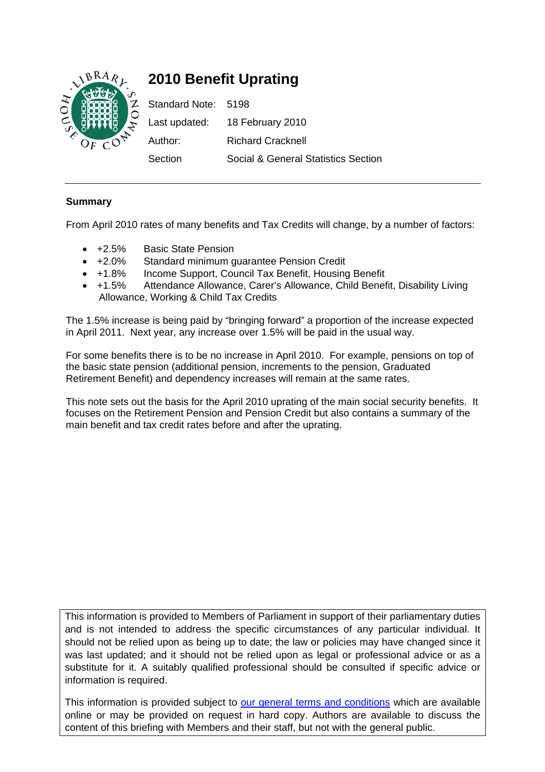

# **2010 Benefit Uprating**

Standard Note: 5198 Last updated: 18 February 2010 Author: Richard Cracknell Section Social & General Statistics Section

# **Summary**

From April 2010 rates of many benefits and Tax Credits will change, by a number of factors:

- +2.5% Basic State Pension
- +2.0% Standard minimum guarantee Pension Credit
- +1.8% Income Support, Council Tax Benefit, Housing Benefit
- +1.5% Attendance Allowance, Carer's Allowance, Child Benefit, Disability Living Allowance, Working & Child Tax Credits

The 1.5% increase is being paid by "bringing forward" a proportion of the increase expected in April 2011. Next year, any increase over 1.5% will be paid in the usual way.

For some benefits there is to be no increase in April 2010. For example, pensions on top of the basic state pension (additional pension, increments to the pension, Graduated Retirement Benefit) and dependency increases will remain at the same rates.

This note sets out the basis for the April 2010 uprating of the main social security benefits. It focuses on the Retirement Pension and Pension Credit but also contains a summary of the main benefit and tax credit rates before and after the uprating.

This information is provided to Members of Parliament in support of their parliamentary duties and is not intended to address the specific circumstances of any particular individual. It should not be relied upon as being up to date; the law or policies may have changed since it was last updated; and it should not be relied upon as legal or professional advice or as a substitute for it. A suitably qualified professional should be consulted if specific advice or information is required.

This information is provided subject to our general terms and conditions which are available online or may be provided on request in hard copy. Authors are available to discuss the content of this briefing with Members and their staff, but not with the general public.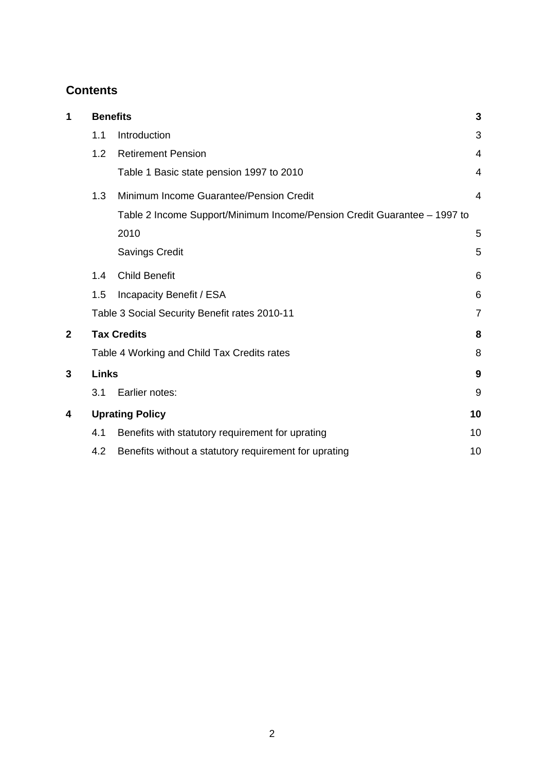# **Contents**

| 1 | <b>Benefits</b> |                                                                          |                |  |  |  |
|---|-----------------|--------------------------------------------------------------------------|----------------|--|--|--|
|   | 1.1             | Introduction                                                             | 3              |  |  |  |
|   | 1.2             | <b>Retirement Pension</b>                                                | 4              |  |  |  |
|   |                 | Table 1 Basic state pension 1997 to 2010                                 | 4              |  |  |  |
|   | 1.3             | Minimum Income Guarantee/Pension Credit                                  | 4              |  |  |  |
|   |                 | Table 2 Income Support/Minimum Income/Pension Credit Guarantee - 1997 to |                |  |  |  |
|   |                 | 2010                                                                     | 5              |  |  |  |
|   |                 | <b>Savings Credit</b>                                                    | 5              |  |  |  |
|   | 1.4             | <b>Child Benefit</b>                                                     | 6              |  |  |  |
|   | 1.5             | Incapacity Benefit / ESA                                                 | 6              |  |  |  |
|   |                 | Table 3 Social Security Benefit rates 2010-11                            | $\overline{7}$ |  |  |  |
| 2 |                 | <b>Tax Credits</b>                                                       | 8              |  |  |  |
|   |                 | Table 4 Working and Child Tax Credits rates                              | 8              |  |  |  |
| 3 | <b>Links</b>    |                                                                          |                |  |  |  |
|   | 3.1             | Earlier notes:                                                           | 9              |  |  |  |
| 4 |                 | <b>Uprating Policy</b>                                                   | 10             |  |  |  |
|   | 4.1             | Benefits with statutory requirement for uprating                         | 10             |  |  |  |
|   | 4.2             | Benefits without a statutory requirement for uprating                    | 10             |  |  |  |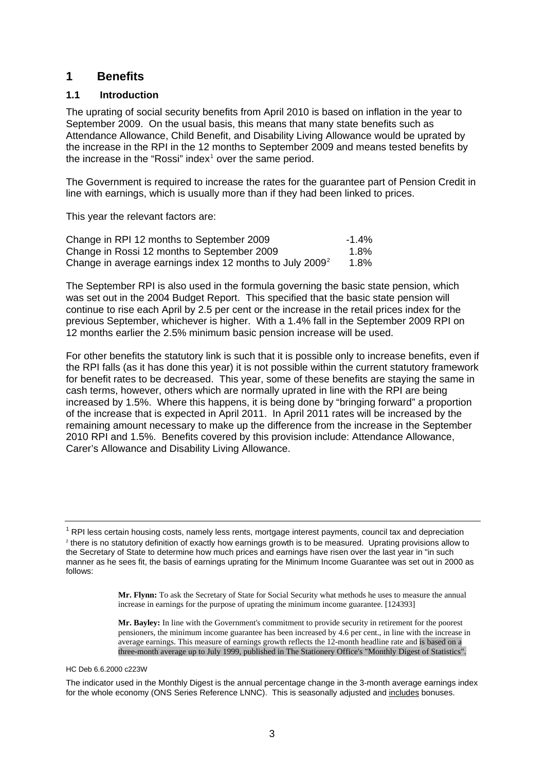## <span id="page-2-0"></span>**1 Benefits**

### **1.1 Introduction**

The uprating of social security benefits from April 2010 is based on inflation in the year to September 2009. On the usual basis, this means that many state benefits such as Attendance Allowance, Child Benefit, and Disability Living Allowance would be uprated by the increase in the RPI in the 12 months to September 2009 and means tested benefits by the increase in the "Rossi" index $1$  over the same period.

The Government is required to increase the rates for the guarantee part of Pension Credit in line with earnings, which is usually more than if they had been linked to prices.

This year the relevant factors are:

| Change in RPI 12 months to September 2009                    | $-1.4\%$ |
|--------------------------------------------------------------|----------|
| Change in Rossi 12 months to September 2009                  | 1.8%     |
| Change in average earnings index 12 months to July 2009 $^2$ | $1.8\%$  |

The September RPI is also used in the formula governing the basic state pension, which was set out in the 2004 Budget Report. This specified that the basic state pension will continue to rise each April by 2.5 per cent or the increase in the retail prices index for the previous September, whichever is higher. With a 1.4% fall in the September 2009 RPI on 12 months earlier the 2.5% minimum basic pension increase will be used.

For other benefits the statutory link is such that it is possible only to increase benefits, even if the RPI falls (as it has done this year) it is not possible within the current statutory framework for benefit rates to be decreased. This year, some of these benefits are staying the same in cash terms, however, others which are normally uprated in line with the RPI are being increased by 1.5%. Where this happens, it is being done by "bringing forward" a proportion of the increase that is expected in April 2011. In April 2011 rates will be increased by the remaining amount necessary to make up the difference from the increase in the September 2010 RPI and 1.5%. Benefits covered by this provision include: Attendance Allowance, Carer's Allowance and Disability Living Allowance.

**Mr. Flynn:** To ask the Secretary of State for Social Security what methods he uses to measure the annual increase in earnings for the purpose of uprating the minimum income guarantee. [124393]

**Mr. Bayley:** In line with the Government's commitment to provide security in retirement for the poorest pensioners, the minimum income guarantee has been increased by 4.6 per cent., in line with the increase in average earnings. This measure of earnings growth reflects the 12-month headline rate and is based on a three-month average up to July 1999, published in The Stationery Office's "Monthly Digest of Statistics".

#### HC Deb 6.6.2000 c223W

The indicator used in the Monthly Digest is the annual percentage change in the 3-month average earnings index for the whole economy (ONS Series Reference LNNC). This is seasonally adjusted and includes bonuses.

<span id="page-2-2"></span><span id="page-2-1"></span><sup>&</sup>lt;sup>1</sup> RPI less certain housing costs, namely less rents, mortgage interest payments, council tax and depreciation  $\frac{2}{3}$  there is no statutory definition of exactly how carnings growth is to be monoured. Uprating provisi <sup>2</sup> there is no statutory definition of exactly how earnings growth is to be measured. Uprating provisions allow to the Secretary of State to determine how much prices and earnings have risen over the last year in "in such manner as he sees fit, the basis of earnings uprating for the Minimum Income Guarantee was set out in 2000 as follows: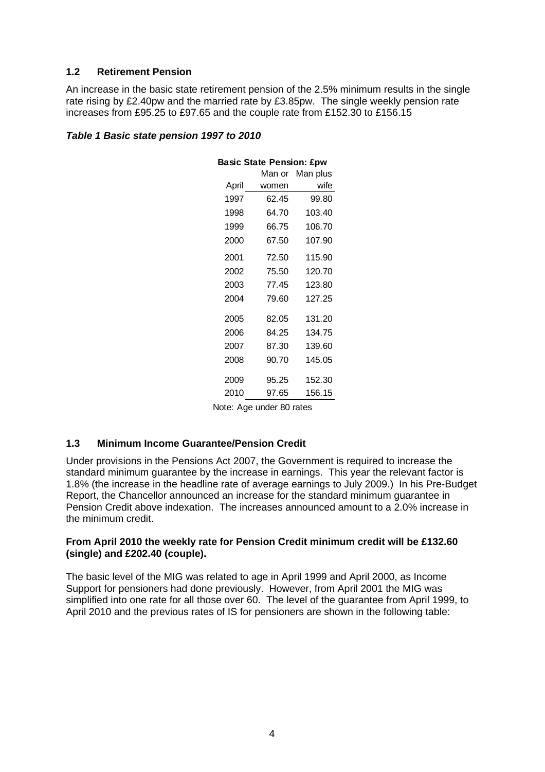#### <span id="page-3-0"></span>**1.2 Retirement Pension**

An increase in the basic state retirement pension of the 2.5% minimum results in the single rate rising by £2.40pw and the married rate by £3.85pw. The single weekly pension rate increases from £95.25 to £97.65 and the couple rate from £152.30 to £156.15

### *Table 1 Basic state pension 1997 to 2010*

| <b>Basic State Pension: £pw</b> |        |          |  |  |  |
|---------------------------------|--------|----------|--|--|--|
|                                 | Man or | Man plus |  |  |  |
| April                           | women  | wife     |  |  |  |
| 1997                            | 62.45  | 99.80    |  |  |  |
| 1998                            | 64.70  | 103.40   |  |  |  |
| 1999                            | 66.75  | 106.70   |  |  |  |
| 2000                            | 67.50  | 107.90   |  |  |  |
| 2001                            | 72.50  | 115.90   |  |  |  |
| 2002                            | 75.50  | 120.70   |  |  |  |
| 2003                            | 77.45  | 123.80   |  |  |  |
| 2004                            | 79.60  | 127.25   |  |  |  |
| 2005                            | 82.05  | 131.20   |  |  |  |
| 2006                            | 84.25  | 134.75   |  |  |  |
| 2007                            | 87.30  | 139.60   |  |  |  |
| 2008                            | 90.70  | 145.05   |  |  |  |
| 2009                            | 95.25  | 152.30   |  |  |  |
| 2010                            | 97.65  | 156.15   |  |  |  |

Note: Age under 80 rates

#### **1.3 Minimum Income Guarantee/Pension Credit**

Under provisions in the Pensions Act 2007, the Government is required to increase the standard minimum guarantee by the increase in earnings. This year the relevant factor is 1.8% (the increase in the headline rate of average earnings to July 2009.) In his Pre-Budget Report, the Chancellor announced an increase for the standard minimum guarantee in Pension Credit above indexation. The increases announced amount to a 2.0% increase in the minimum credit.

#### **From April 2010 the weekly rate for Pension Credit minimum credit will be £132.60 (single) and £202.40 (couple).**

The basic level of the MIG was related to age in April 1999 and April 2000, as Income Support for pensioners had done previously. However, from April 2001 the MIG was simplified into one rate for all those over 60. The level of the guarantee from April 1999, to April 2010 and the previous rates of IS for pensioners are shown in the following table: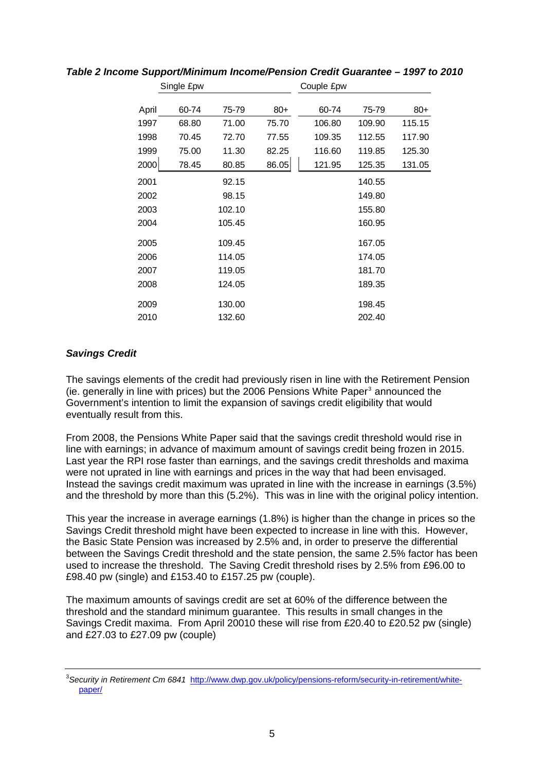|       | Single £pw |        |       | Couple £pw |        |        |
|-------|------------|--------|-------|------------|--------|--------|
| April | 60-74      | 75-79  | $80+$ | 60-74      | 75-79  | $80+$  |
| 1997  | 68.80      | 71.00  | 75.70 | 106.80     | 109.90 | 115.15 |
| 1998  | 70.45      | 72.70  | 77.55 | 109.35     | 112.55 | 117.90 |
| 1999  | 75.00      | 11.30  | 82.25 | 116.60     | 119.85 | 125.30 |
| 2000  | 78.45      | 80.85  | 86.05 | 121.95     | 125.35 | 131.05 |
| 2001  |            | 92.15  |       |            | 140.55 |        |
| 2002  |            | 98.15  |       |            | 149.80 |        |
| 2003  |            | 102.10 |       |            | 155.80 |        |
| 2004  |            | 105.45 |       |            | 160.95 |        |
| 2005  |            | 109.45 |       |            | 167.05 |        |
| 2006  |            | 114.05 |       |            | 174.05 |        |
| 2007  |            | 119.05 |       |            | 181.70 |        |
| 2008  |            | 124.05 |       |            | 189.35 |        |
| 2009  |            | 130.00 |       |            | 198.45 |        |
| 2010  |            | 132.60 |       |            | 202.40 |        |

<span id="page-4-0"></span>*Table 2 Income Support/Minimum Income/Pension Credit Guarantee – 1997 to 2010* 

## *Savings Credit*

The savings elements of the credit had previously risen in line with the Retirement Pension  $(i$ e. generally in line with prices) but the 2006 Pensions White Paper $3$  announced the Government's intention to limit the expansion of savings credit eligibility that would eventually result from this.

From 2008, the Pensions White Paper said that the savings credit threshold would rise in line with earnings; in advance of maximum amount of savings credit being frozen in 2015. Last year the RPI rose faster than earnings, and the savings credit thresholds and maxima were not uprated in line with earnings and prices in the way that had been envisaged. Instead the savings credit maximum was uprated in line with the increase in earnings (3.5%) and the threshold by more than this (5.2%). This was in line with the original policy intention.

This year the increase in average earnings (1.8%) is higher than the change in prices so the Savings Credit threshold might have been expected to increase in line with this. However, the Basic State Pension was increased by 2.5% and, in order to preserve the differential between the Savings Credit threshold and the state pension, the same 2.5% factor has been used to increase the threshold. The Saving Credit threshold rises by 2.5% from £96.00 to £98.40 pw (single) and £153.40 to £157.25 pw (couple).

The maximum amounts of savings credit are set at 60% of the difference between the threshold and the standard minimum guarantee. This results in small changes in the Savings Credit maxima. From April 20010 these will rise from £20.40 to £20.52 pw (single) and £27.03 to £27.09 pw (couple)

<span id="page-4-1"></span><sup>&</sup>lt;sup>3</sup>Security in Retirement Cm 6841 <u>http://www.dwp.gov.uk/policy/pensions-reform/security-in-retirement/white-</u> [paper/](http://www.dwp.gov.uk/policy/pensions-reform/security-in-retirement/white-paper/)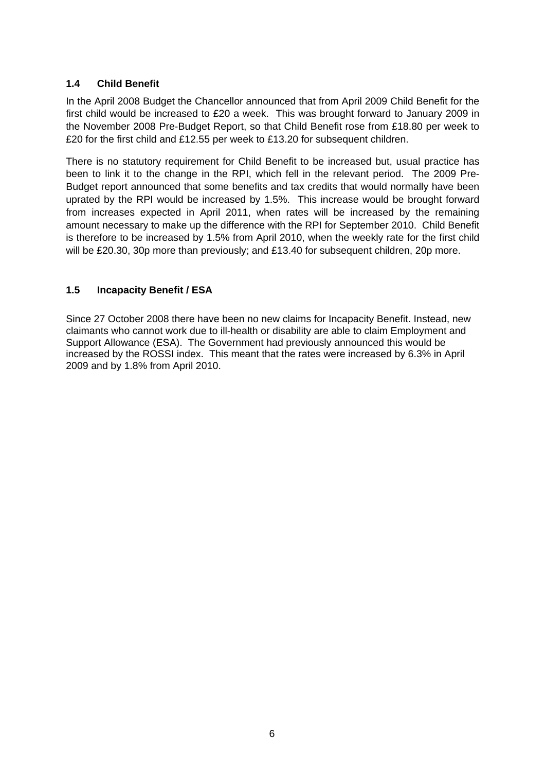## <span id="page-5-0"></span>**1.4 Child Benefit**

In the April 2008 Budget the Chancellor announced that from April 2009 Child Benefit for the first child would be increased to £20 a week. This was brought forward to January 2009 in the November 2008 Pre-Budget Report, so that Child Benefit rose from £18.80 per week to £20 for the first child and £12.55 per week to £13.20 for subsequent children.

There is no statutory requirement for Child Benefit to be increased but, usual practice has been to link it to the change in the RPI, which fell in the relevant period. The 2009 Pre-Budget report announced that some benefits and tax credits that would normally have been uprated by the RPI would be increased by 1.5%. This increase would be brought forward from increases expected in April 2011, when rates will be increased by the remaining amount necessary to make up the difference with the RPI for September 2010. Child Benefit is therefore to be increased by 1.5% from April 2010, when the weekly rate for the first child will be £20.30, 30p more than previously; and £13.40 for subsequent children, 20p more.

## **1.5 Incapacity Benefit / ESA**

Since 27 October 2008 there have been no new claims for Incapacity Benefit. Instead, new claimants who cannot work due to ill-health or disability are able to claim Employment and Support Allowance (ESA). The Government had previously announced this would be increased by the ROSSI index. This meant that the rates were increased by 6.3% in April 2009 and by 1.8% from April 2010.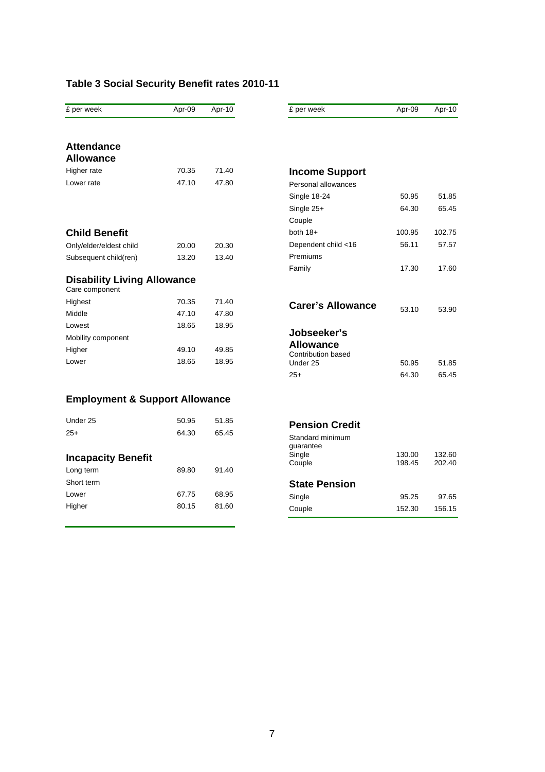# <span id="page-6-0"></span>**Table 3 Social Security Benefit rates 2010-11**

| £ per week                                           | Apr-09 | $Apr-10$ | £ per week                             | Apr-09           | $Apr-10$         |
|------------------------------------------------------|--------|----------|----------------------------------------|------------------|------------------|
| <b>Attendance</b>                                    |        |          |                                        |                  |                  |
| <b>Allowance</b>                                     |        |          |                                        |                  |                  |
| Higher rate                                          | 70.35  | 71.40    | <b>Income Support</b>                  |                  |                  |
| Lower rate                                           | 47.10  | 47.80    | Personal allowances                    |                  |                  |
|                                                      |        |          | Single 18-24                           | 50.95            | 51.85            |
|                                                      |        |          | Single 25+                             | 64.30            | 65.45            |
|                                                      |        |          | Couple                                 |                  |                  |
| <b>Child Benefit</b>                                 |        |          | both $18+$                             | 100.95           | 102.75           |
| Only/elder/eldest child                              | 20.00  | 20.30    | Dependent child <16                    | 56.11            | 57.57            |
| Subsequent child(ren)                                | 13.20  | 13.40    | Premiums                               |                  |                  |
|                                                      |        |          | Family                                 | 17.30            | 17.60            |
| <b>Disability Living Allowance</b><br>Care component |        |          |                                        |                  |                  |
| Highest                                              | 70.35  | 71.40    | <b>Carer's Allowance</b>               |                  |                  |
| Middle                                               | 47.10  | 47.80    |                                        | 53.10            | 53.90            |
| Lowest                                               | 18.65  | 18.95    |                                        |                  |                  |
| Mobility component                                   |        |          | Jobseeker's                            |                  |                  |
| Higher                                               | 49.10  | 49.85    | Allowance<br><b>Contribution based</b> |                  |                  |
| Lower                                                | 18.65  | 18.95    | Under 25                               | 50.95            | 51.85            |
|                                                      |        |          | $25+$                                  | 64.30            | 65.45            |
| <b>Employment &amp; Support Allowance</b>            |        |          |                                        |                  |                  |
| Under 25                                             | 50.95  | 51.85    | <b>Pension Credit</b>                  |                  |                  |
| $25+$                                                | 64.30  | 65.45    | Standard minimum                       |                  |                  |
|                                                      |        |          | guarantee                              |                  |                  |
| <b>Incapacity Benefit</b>                            |        |          | Single                                 | 130.00<br>198.45 | 132.60<br>202.40 |
| Long term                                            | 89.80  | 91.40    | Couple                                 |                  |                  |
| Short term                                           |        |          | <b>State Pension</b>                   |                  |                  |
| Lower                                                | 67.75  | 68.95    | Single                                 | 95.25            | 97.65            |
| Higher                                               | 80.15  | 81.60    | Couple                                 | 152.30           | 156.15           |
|                                                      |        |          |                                        |                  |                  |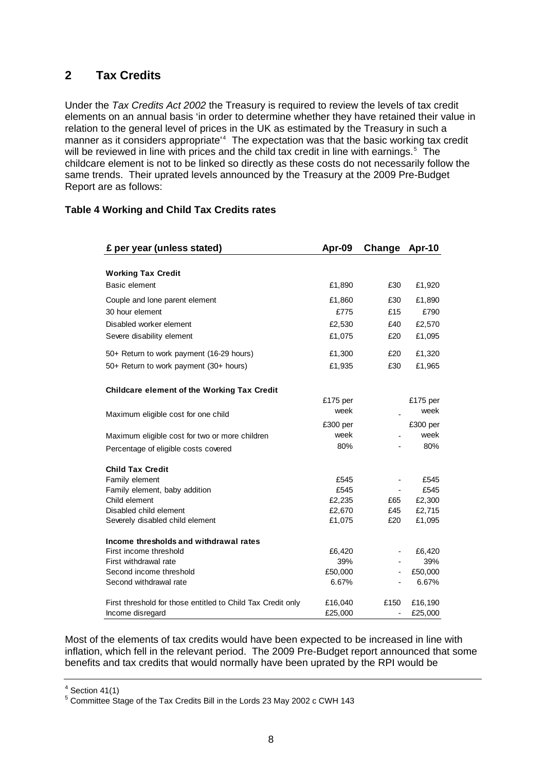## <span id="page-7-0"></span>**2 Tax Credits**

Under the *Tax Credits Act 2002* the Treasury is required to review the levels of tax credit elements on an annual basis 'in order to determine whether they have retained their value in relation to the general level of prices in the UK as estimated by the Treasury in such a manner as it considers appropriate<sup>1[4](#page-7-1)</sup> The expectation was that the basic working tax credit will be reviewed in line with prices and the child tax credit in line with earnings.<sup>[5](#page-7-2)</sup> The childcare element is not to be linked so directly as these costs do not necessarily follow the same trends. Their uprated levels announced by the Treasury at the 2009 Pre-Budget Report are as follows:

### **Table 4 Working and Child Tax Credits rates**

| £ per year (unless stated)                                  | Apr-09   | Change | Apr-10   |
|-------------------------------------------------------------|----------|--------|----------|
|                                                             |          |        |          |
| <b>Working Tax Credit</b>                                   |          |        |          |
| Basic element                                               | £1,890   | £30    | £1,920   |
| Couple and lone parent element                              | £1,860   | £30    | £1,890   |
| 30 hour element                                             | £775     | £15    | £790     |
| Disabled worker element                                     | £2,530   | £40    | £2,570   |
| Severe disability element                                   | £1,075   | £20    | £1,095   |
| 50+ Return to work payment (16-29 hours)                    | £1,300   | £20    | £1,320   |
| 50+ Return to work payment (30+ hours)                      | £1,935   | £30    | £1,965   |
| Childcare element of the Working Tax Credit                 |          |        |          |
|                                                             | £175 per |        | £175 per |
| Maximum eligible cost for one child                         | week     |        | week     |
|                                                             | £300 per |        | £300 per |
| Maximum eligible cost for two or more children              | week     |        | week     |
| Percentage of eligible costs covered                        | 80%      |        | 80%      |
| <b>Child Tax Credit</b>                                     |          |        |          |
| Family element                                              | £545     | -      | £545     |
| Family element, baby addition                               | £545     |        | £545     |
| Child element                                               | £2,235   | £65    | £2,300   |
| Disabled child element                                      | £2,670   | £45    | £2,715   |
| Severely disabled child element                             | £1,075   | £20    | £1,095   |
| Income thresholds and withdrawal rates                      |          |        |          |
| First income threshold                                      | £6,420   |        | £6,420   |
| First withdrawal rate                                       | 39%      |        | 39%      |
| Second income threshold                                     | £50,000  | -      | £50,000  |
| Second withdrawal rate                                      | 6.67%    |        | 6.67%    |
| First threshold for those entitled to Child Tax Credit only | £16,040  | £150   | £16,190  |
| Income disregard                                            | £25,000  | ÷      | £25,000  |

Most of the elements of tax credits would have been expected to be increased in line with inflation, which fell in the relevant period. The 2009 Pre-Budget report announced that some benefits and tax credits that would normally have been uprated by the RPI would be

<span id="page-7-1"></span> $4$  Section 41(1)

<span id="page-7-2"></span><sup>5</sup> Committee Stage of the Tax Credits Bill in the Lords 23 May 2002 c CWH 143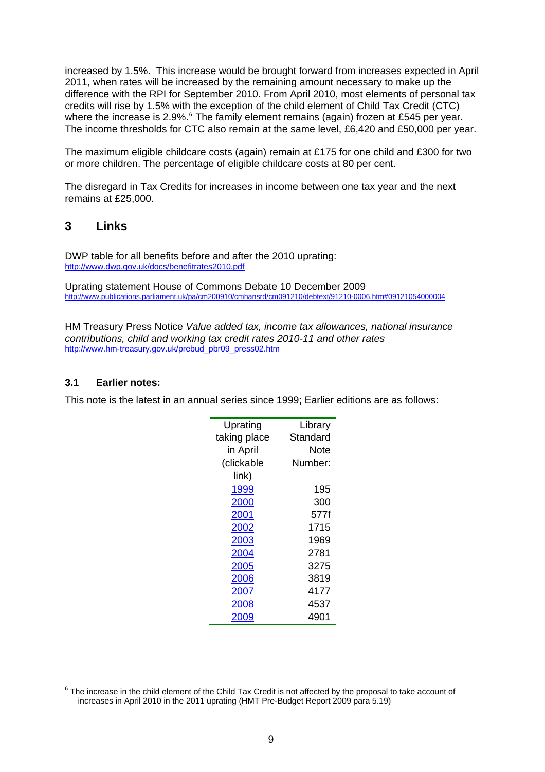<span id="page-8-0"></span>increased by 1.5%. This increase would be brought forward from increases expected in April 2011, when rates will be increased by the remaining amount necessary to make up the difference with the RPI for September 2010. From April 2010, most elements of personal tax credits will rise by 1.5% with the exception of the child element of Child Tax Credit (CTC) where the increase is 2.9%.<sup>[6](#page-8-1)</sup> The family element remains (again) frozen at £545 per year. The income thresholds for CTC also remain at the same level, £6,420 and £50,000 per year.

The maximum eligible childcare costs (again) remain at £175 for one child and £300 for two or more children. The percentage of eligible childcare costs at 80 per cent.

The disregard in Tax Credits for increases in income between one tax year and the next remains at £25,000.

## **3 Links**

DWP table for all benefits before and after the 2010 uprating: <http://www.dwp.gov.uk/docs/benefitrates2010.pdf>

Uprating statement House of Commons Debate 10 December 2009 <http://www.publications.parliament.uk/pa/cm200910/cmhansrd/cm091210/debtext/91210-0006.htm#09121054000004>

HM Treasury Press Notice *Value added tax, income tax allowances, national insurance contributions, child and working tax credit rates 2010-11 and other rates* [http://www.hm-treasury.gov.uk/prebud\\_pbr09\\_press02.htm](http://www.hm-treasury.gov.uk/prebud_pbr09_press02.htm)

## **3.1 Earlier notes:**

This note is the latest in an annual series since 1999; Earlier editions are as follows:

| Uprating     | Library  |
|--------------|----------|
| taking place | Standard |
| in April     | Note     |
| (clickable   | Number:  |
| link)        |          |
| 1999         | 195      |
| 2000         | 300      |
| 2001         | 577f     |
| 2002         | 1715     |
| 2003         | 1969     |
| 2004         | 2781     |
| 2005         | 3275     |
| 2006         | 3819     |
| 2007         | 4177     |
| 2008         | 4537     |
| 009          | 4901     |

<span id="page-8-1"></span> $6$  The increase in the child element of the Child Tax Credit is not affected by the proposal to take account of increases in April 2010 in the 2011 uprating (HMT Pre-Budget Report 2009 para 5.19)